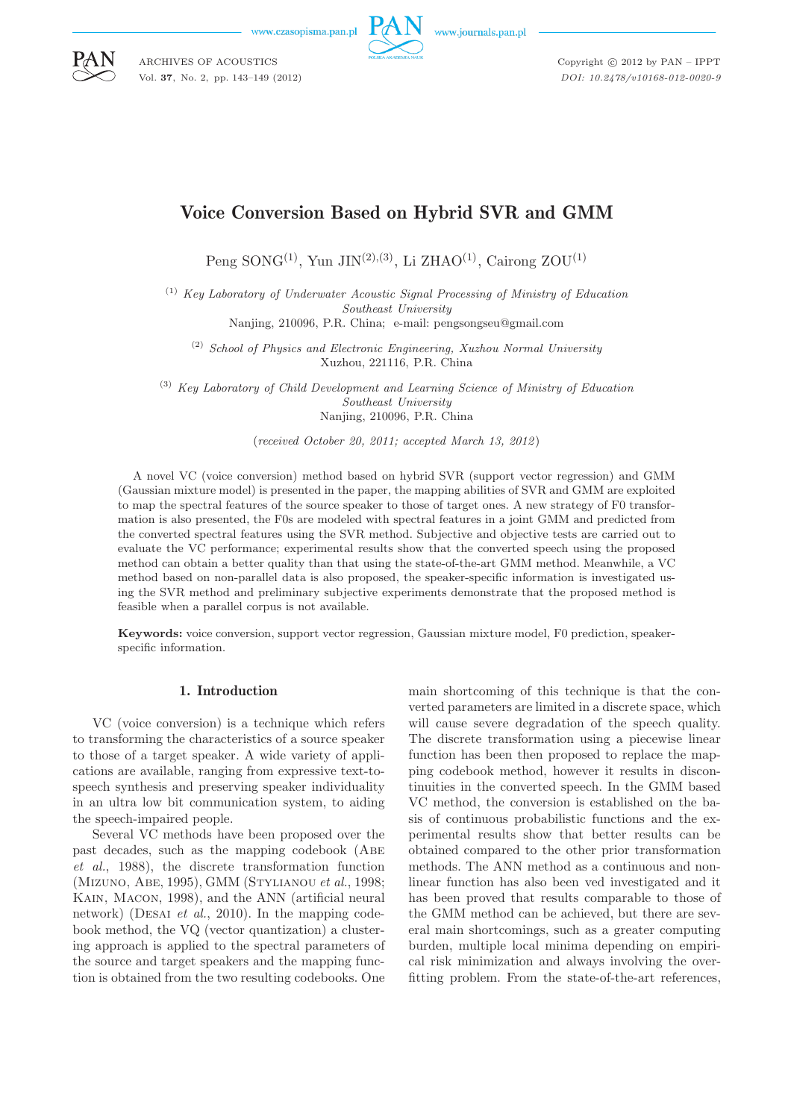www.czasopisma.pan.pl

ARCHIVES OF ACOUSTICS Vol. **37**, No. 2, pp. 143–149 (2012)



www.journals.pan.pl

Copyright  $\odot$  2012 by PAN - IPPT *DOI: 10.2478/v10168-012-0020-9*

# Voice Conversion Based on Hybrid SVR and GMM

Peng SONG<sup>(1)</sup>, Yun JIN<sup>(2),(3)</sup>, Li ZHAO<sup>(1)</sup>, Cairong ZOU<sup>(1)</sup>

(1) *Key Laboratory of Underwater Acoustic Signal Processing of Ministry of Education Southeast University* Nanjing, 210096, P.R. China; e-mail: pengsongseu@gmail.com

(2) *School of Physics and Electronic Engineering, Xuzhou Normal University* Xuzhou, 221116, P.R. China

(3) *Key Laboratory of Child Development and Learning Science of Ministry of Education Southeast University* Nanjing, 210096, P.R. China

(*received October 20, 2011; accepted March 13, 2012*)

A novel VC (voice conversion) method based on hybrid SVR (support vector regression) and GMM (Gaussian mixture model) is presented in the paper, the mapping abilities of SVR and GMM are exploited to map the spectral features of the source speaker to those of target ones. A new strategy of F0 transformation is also presented, the F0s are modeled with spectral features in a joint GMM and predicted from the converted spectral features using the SVR method. Subjective and objective tests are carried out to evaluate the VC performance; experimental results show that the converted speech using the proposed method can obtain a better quality than that using the state-of-the-art GMM method. Meanwhile, a VC method based on non-parallel data is also proposed, the speaker-specific information is investigated using the SVR method and preliminary subjective experiments demonstrate that the proposed method is feasible when a parallel corpus is not available.

**Keywords:** voice conversion, support vector regression, Gaussian mixture model, F0 prediction, speakerspecific information.

# 1. Introduction

VC (voice conversion) is a technique which refers to transforming the characteristics of a source speaker to those of a target speaker. A wide variety of applications are available, ranging from expressive text-tospeech synthesis and preserving speaker individuality in an ultra low bit communication system, to aiding the speech-impaired people.

Several VC methods have been proposed over the past decades, such as the mapping codebook (Abe *et al.*, 1988), the discrete transformation function (Mizuno, Abe, 1995), GMM (Stylianou *et al.*, 1998; KAIN, MACON, 1998), and the ANN (artificial neural network) (DESAI *et al.*, 2010). In the mapping codebook method, the VQ (vector quantization) a clustering approach is applied to the spectral parameters of the source and target speakers and the mapping function is obtained from the two resulting codebooks. One main shortcoming of this technique is that the converted parameters are limited in a discrete space, which will cause severe degradation of the speech quality. The discrete transformation using a piecewise linear function has been then proposed to replace the mapping codebook method, however it results in discontinuities in the converted speech. In the GMM based VC method, the conversion is established on the basis of continuous probabilistic functions and the experimental results show that better results can be obtained compared to the other prior transformation methods. The ANN method as a continuous and nonlinear function has also been ved investigated and it has been proved that results comparable to those of the GMM method can be achieved, but there are several main shortcomings, such as a greater computing burden, multiple local minima depending on empirical risk minimization and always involving the overfitting problem. From the state-of-the-art references,

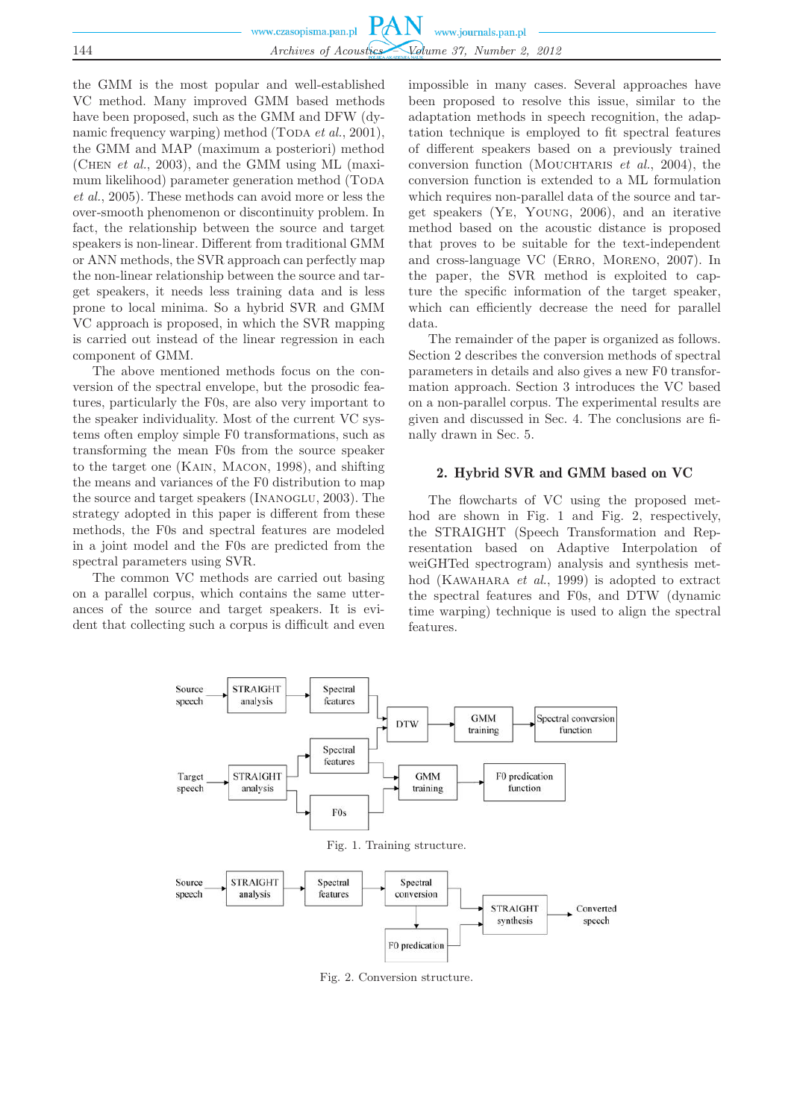| www.czasopisma.pan.pl $PAN$ www.journals.pan.pl        |  |
|--------------------------------------------------------|--|
|                                                        |  |
| Archives of Acoustics Volume 37, Number 2, 2012<br>144 |  |

the GMM is the most popular and well-established VC method. Many improved GMM based methods have been proposed, such as the GMM and DFW (dynamic frequency warping) method (TODA *et al.*, 2001), the GMM and MAP (maximum a posteriori) method (Chen *et al.*, 2003), and the GMM using ML (maximum likelihood) parameter generation method (TODA *et al.*, 2005). These methods can avoid more or less the over-smooth phenomenon or discontinuity problem. In fact, the relationship between the source and target speakers is non-linear. Different from traditional GMM or ANN methods, the SVR approach can perfectly map the non-linear relationship between the source and target speakers, it needs less training data and is less prone to local minima. So a hybrid SVR and GMM VC approach is proposed, in which the SVR mapping is carried out instead of the linear regression in each component of GMM.

The above mentioned methods focus on the conversion of the spectral envelope, but the prosodic features, particularly the F0s, are also very important to the speaker individuality. Most of the current VC systems often employ simple F0 transformations, such as transforming the mean F0s from the source speaker to the target one (Kain, Macon, 1998), and shifting the means and variances of the F0 distribution to map the source and target speakers (INANOGLU, 2003). The strategy adopted in this paper is different from these methods, the F0s and spectral features are modeled in a joint model and the F0s are predicted from the spectral parameters using SVR.

The common VC methods are carried out basing on a parallel corpus, which contains the same utterances of the source and target speakers. It is evident that collecting such a corpus is difficult and even impossible in many cases. Several approaches have been proposed to resolve this issue, similar to the adaptation methods in speech recognition, the adaptation technique is employed to fit spectral features of different speakers based on a previously trained conversion function (Mouchtaris *et al.*, 2004), the conversion function is extended to a ML formulation which requires non-parallel data of the source and target speakers (Ye, Young, 2006), and an iterative method based on the acoustic distance is proposed that proves to be suitable for the text-independent and cross-language VC (Erro, Moreno, 2007). In the paper, the SVR method is exploited to capture the specific information of the target speaker, which can efficiently decrease the need for parallel data.

The remainder of the paper is organized as follows. Section 2 describes the conversion methods of spectral parameters in details and also gives a new F0 transformation approach. Section 3 introduces the VC based on a non-parallel corpus. The experimental results are given and discussed in Sec. 4. The conclusions are finally drawn in Sec. 5.

## 2. Hybrid SVR and GMM based on VC

The flowcharts of VC using the proposed method are shown in Fig. 1 and Fig. 2, respectively, the STRAIGHT (Speech Transformation and Representation based on Adaptive Interpolation of weiGHTed spectrogram) analysis and synthesis method (Kawahara *et al.*, 1999) is adopted to extract the spectral features and F0s, and DTW (dynamic time warping) technique is used to align the spectral features.



Fig. 2. Conversion structure.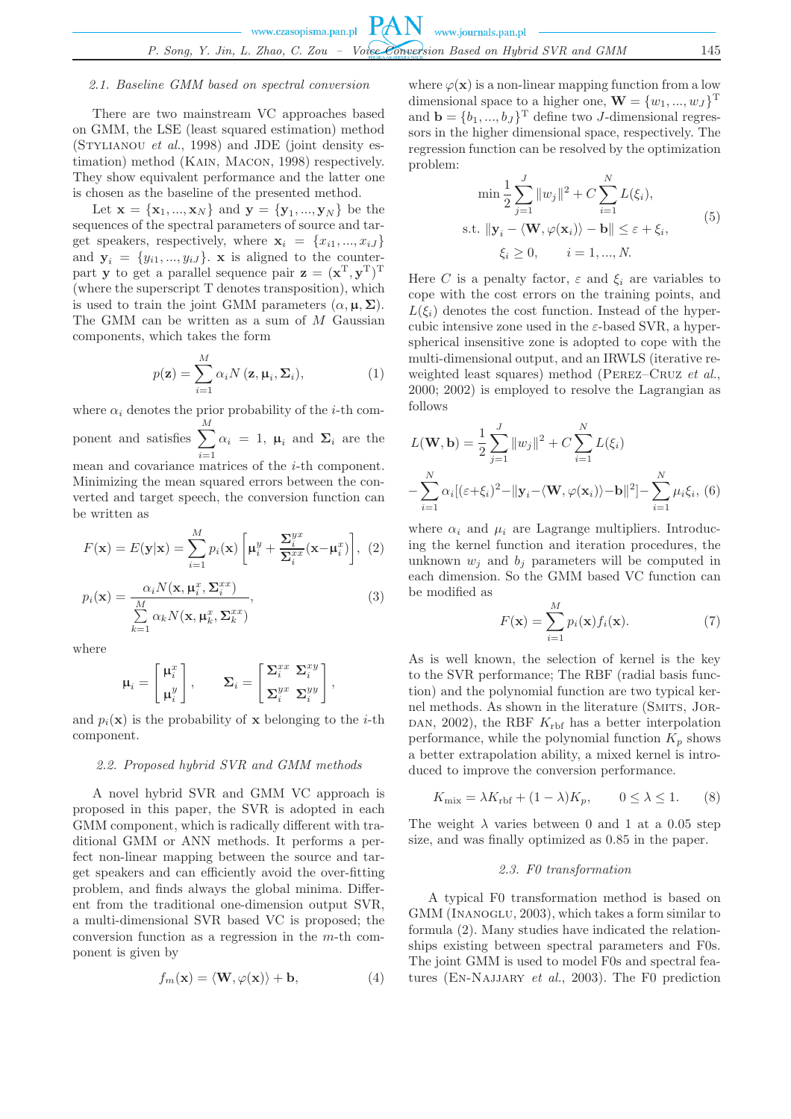#### *2.1. Baseline GMM based on spectral conversion*

There are two mainstream VC approaches based on GMM, the LSE (least squared estimation) method (Stylianou *et al.*, 1998) and JDE (joint density estimation) method (Kain, Macon, 1998) respectively. They show equivalent performance and the latter one is chosen as the baseline of the presented method.

Let  $\mathbf{x} = {\mathbf{x}_1, ..., \mathbf{x}_N}$  and  $\mathbf{y} = {\mathbf{y}_1, ..., \mathbf{y}_N}$  be the sequences of the spectral parameters of source and target speakers, respectively, where  $\mathbf{x}_i = \{x_{i1}, ..., x_{iJ}\}\$ and  $y_i = \{y_{i1}, ..., y_{iJ}\}\$ . **x** is aligned to the counterpart **y** to get a parallel sequence pair  $\mathbf{z} = (\mathbf{x}^T, \mathbf{y}^T)^T$ (where the superscript T denotes transposition), which is used to train the joint GMM parameters  $(\alpha, \mu, \Sigma)$ . The GMM can be written as a sum of M Gaussian components, which takes the form

$$
p(\mathbf{z}) = \sum_{i=1}^{M} \alpha_i N(\mathbf{z}, \mathbf{\mu}_i, \mathbf{\Sigma}_i),
$$
 (1)

where  $\alpha_i$  denotes the prior probability of the *i*-th component and satisfies  $\sum_{n=1}^{M}$  $i=1$  $\alpha_i = 1$ ,  $\mu_i$  and  $\Sigma_i$  are the mean and covariance matrices of the i-th component. Minimizing the mean squared errors between the converted and target speech, the conversion function can be written as

$$
F(\mathbf{x}) = E(\mathbf{y}|\mathbf{x}) = \sum_{i=1}^{M} p_i(\mathbf{x}) \left[ \mu_i^y + \frac{\Sigma_i^{yx}}{\Sigma_i^{xx}} (\mathbf{x} - \mu_i^x) \right], (2)
$$

$$
p_i(\mathbf{x}) = \frac{\alpha_i N(\mathbf{x}, \boldsymbol{\mu}_i^x, \boldsymbol{\Sigma}_i^{xx})}{\sum\limits_{k=1}^M \alpha_k N(\mathbf{x}, \boldsymbol{\mu}_k^x, \boldsymbol{\Sigma}_k^{xx})},
$$
(3)

where

$$
\mu_i = \begin{bmatrix} \mu_i^x \\ \mu_i^y \end{bmatrix}, \qquad \Sigma_i = \begin{bmatrix} \Sigma_i^{xx} & \Sigma_i^{xy} \\ \Sigma_i^{yx} & \Sigma_i^{yy} \end{bmatrix},
$$

and  $p_i(\mathbf{x})$  is the probability of **x** belonging to the *i*-th component.

## *2.2. Proposed hybrid SVR and GMM methods*

A novel hybrid SVR and GMM VC approach is proposed in this paper, the SVR is adopted in each GMM component, which is radically different with traditional GMM or ANN methods. It performs a perfect non-linear mapping between the source and target speakers and can efficiently avoid the over-fitting problem, and finds always the global minima. Different from the traditional one-dimension output SVR, a multi-dimensional SVR based VC is proposed; the conversion function as a regression in the m-th component is given by

$$
f_m(\mathbf{x}) = \langle \mathbf{W}, \varphi(\mathbf{x}) \rangle + \mathbf{b}, \tag{4}
$$

where  $\varphi(\mathbf{x})$  is a non-linear mapping function from a low dimensional space to a higher one,  $\mathbf{W} = \{w_1, ..., w_J\}^T$ and  $\mathbf{b} = \{b_1, ..., b_J\}^T$  define two J-dimensional regressors in the higher dimensional space, respectively. The regression function can be resolved by the optimization problem:

$$
\min \frac{1}{2} \sum_{j=1}^{J} ||w_j||^2 + C \sum_{i=1}^{N} L(\xi_i),
$$
  
s.t.  $||\mathbf{y}_i - \langle \mathbf{W}, \varphi(\mathbf{x}_i) \rangle - \mathbf{b}|| \le \varepsilon + \xi_i,$   
 $\xi_i \ge 0, \qquad i = 1, ..., N.$  (5)

Here C is a penalty factor,  $\varepsilon$  and  $\xi_i$  are variables to cope with the cost errors on the training points, and  $L(\xi_i)$  denotes the cost function. Instead of the hypercubic intensive zone used in the  $\varepsilon$ -based SVR, a hyperspherical insensitive zone is adopted to cope with the multi-dimensional output, and an IRWLS (iterative reweighted least squares) method (PEREZ–CRUZ *et al.*, 2000; 2002) is employed to resolve the Lagrangian as follows

$$
L(\mathbf{W}, \mathbf{b}) = \frac{1}{2} \sum_{j=1}^{J} ||w_j||^2 + C \sum_{i=1}^{N} L(\xi_i)
$$

$$
- \sum_{i=1}^{N} \alpha_i [(\varepsilon + \xi_i)^2 - ||\mathbf{y}_i - \langle \mathbf{W}, \varphi(\mathbf{x}_i) \rangle - \mathbf{b}||^2] - \sum_{i=1}^{N} \mu_i \xi_i, (6)
$$

where  $\alpha_i$  and  $\mu_i$  are Lagrange multipliers. Introducing the kernel function and iteration procedures, the unknown  $w_j$  and  $b_j$  parameters will be computed in each dimension. So the GMM based VC function can be modified as

$$
F(\mathbf{x}) = \sum_{i=1}^{M} p_i(\mathbf{x}) f_i(\mathbf{x}).
$$
 (7)

As is well known, the selection of kernel is the key to the SVR performance; The RBF (radial basis function) and the polynomial function are two typical kernel methods. As shown in the literature (SMITS, JOR-DAN, 2002), the RBF  $K<sub>rbf</sub>$  has a better interpolation performance, while the polynomial function  $K_p$  shows a better extrapolation ability, a mixed kernel is introduced to improve the conversion performance.

$$
K_{\text{mix}} = \lambda K_{\text{rbf}} + (1 - \lambda)K_p, \qquad 0 \le \lambda \le 1. \tag{8}
$$

The weight  $\lambda$  varies between 0 and 1 at a 0.05 step size, and was finally optimized as 0.85 in the paper.

### *2.3. F0 transformation*

A typical F0 transformation method is based on GMM (Inanoglu, 2003), which takes a form similar to formula (2). Many studies have indicated the relationships existing between spectral parameters and F0s. The joint GMM is used to model F0s and spectral features (En-Najjary *et al.*, 2003). The F0 prediction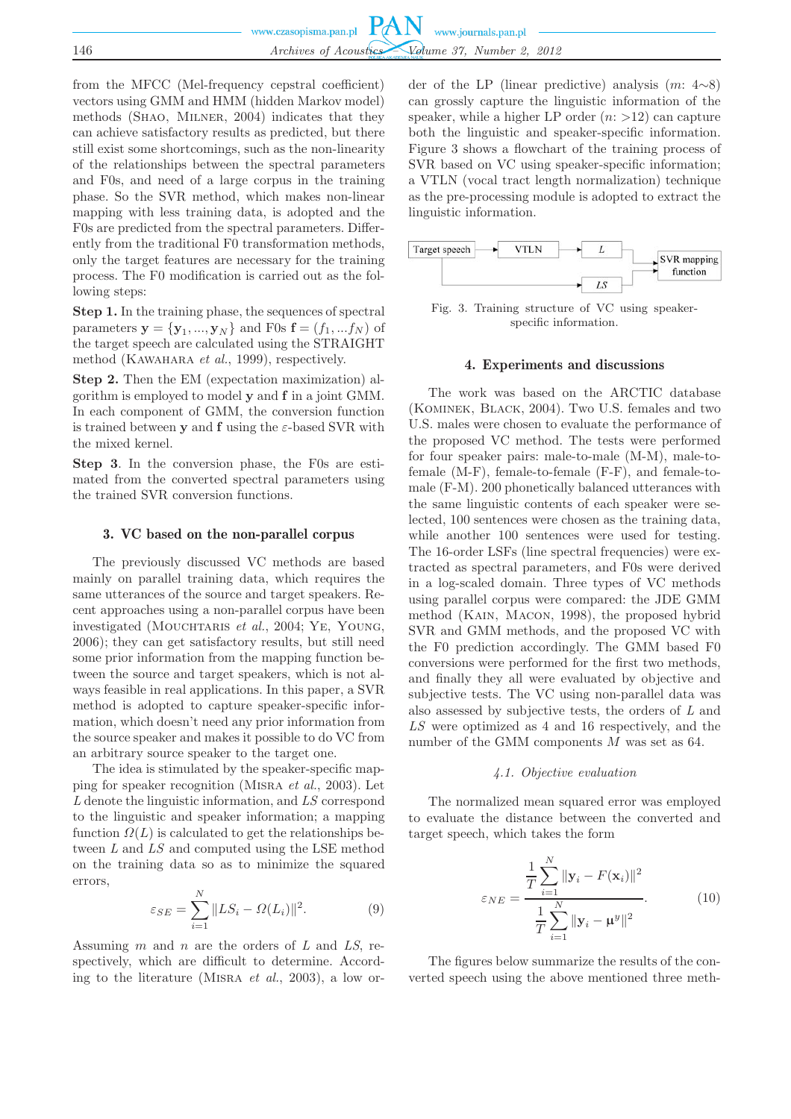|     | www.czasopisma.pan.pl $PAN$ www.journals.pan.pl — |
|-----|---------------------------------------------------|
|     |                                                   |
|     |                                                   |
| 146 | Archives of Acoustics Volume 37, Number 2, 2012   |

from the MFCC (Mel-frequency cepstral coefficient) vectors using GMM and HMM (hidden Markov model) methods (Shao, Milner, 2004) indicates that they can achieve satisfactory results as predicted, but there still exist some shortcomings, such as the non-linearity of the relationships between the spectral parameters and F0s, and need of a large corpus in the training phase. So the SVR method, which makes non-linear mapping with less training data, is adopted and the F0s are predicted from the spectral parameters. Differently from the traditional F0 transformation methods, only the target features are necessary for the training process. The F0 modification is carried out as the following steps:

**Step 1.** In the training phase, the sequences of spectral parameters  $y = {y_1, ..., y_N}$  and F0s  $f = (f_1, ... f_N)$  of the target speech are calculated using the STRAIGHT method (Kawahara *et al.*, 1999), respectively.

**Step 2.** Then the EM (expectation maximization) algorithm is employed to model **y** and **f** in a joint GMM. In each component of GMM, the conversion function is trained between **y** and **f** using the  $\varepsilon$ -based SVR with the mixed kernel.

**Step 3**. In the conversion phase, the F0s are estimated from the converted spectral parameters using the trained SVR conversion functions.

# 3. VC based on the non-parallel corpus

The previously discussed VC methods are based mainly on parallel training data, which requires the same utterances of the source and target speakers. Recent approaches using a non-parallel corpus have been investigated (Mouchtaris *et al.*, 2004; Ye, Young, 2006); they can get satisfactory results, but still need some prior information from the mapping function between the source and target speakers, which is not always feasible in real applications. In this paper, a SVR method is adopted to capture speaker-specific information, which doesn't need any prior information from the source speaker and makes it possible to do VC from an arbitrary source speaker to the target one.

The idea is stimulated by the speaker-specific mapping for speaker recognition (Misra *et al.*, 2003). Let *L* denote the linguistic information, and *LS* correspond to the linguistic and speaker information; a mapping function  $\Omega(L)$  is calculated to get the relationships between *L* and *LS* and computed using the LSE method on the training data so as to minimize the squared errors,

$$
\varepsilon_{SE} = \sum_{i=1}^{N} \|LS_i - \Omega(L_i)\|^2.
$$
 (9)

Assuming m and n are the orders of *L* and *LS*, respectively, which are difficult to determine. According to the literature (Misra *et al.*, 2003), a low or-

der of the LP (linear predictive) analysis (m: 4∼8) can grossly capture the linguistic information of the speaker, while a higher LP order  $(n: >12)$  can capture both the linguistic and speaker-specific information. Figure 3 shows a flowchart of the training process of SVR based on VC using speaker-specific information; a VTLN (vocal tract length normalization) technique as the pre-processing module is adopted to extract the linguistic information.



Fig. 3. Training structure of VC using speakerspecific information.

#### 4. Experiments and discussions

The work was based on the ARCTIC database (Kominek, Black, 2004). Two U.S. females and two U.S. males were chosen to evaluate the performance of the proposed VC method. The tests were performed for four speaker pairs: male-to-male (M-M), male-tofemale (M-F), female-to-female (F-F), and female-tomale (F-M). 200 phonetically balanced utterances with the same linguistic contents of each speaker were selected, 100 sentences were chosen as the training data, while another 100 sentences were used for testing. The 16-order LSFs (line spectral frequencies) were extracted as spectral parameters, and F0s were derived in a log-scaled domain. Three types of VC methods using parallel corpus were compared: the JDE GMM method (Kain, Macon, 1998), the proposed hybrid SVR and GMM methods, and the proposed VC with the F0 prediction accordingly. The GMM based F0 conversions were performed for the first two methods, and finally they all were evaluated by objective and subjective tests. The VC using non-parallel data was also assessed by subjective tests, the orders of *L* and *LS* were optimized as 4 and 16 respectively, and the number of the GMM components M was set as 64.

#### *4.1. Objective evaluation*

The normalized mean squared error was employed to evaluate the distance between the converted and target speech, which takes the form

$$
\varepsilon_{NE} = \frac{\frac{1}{T} \sum_{i=1}^{N} ||\mathbf{y}_i - F(\mathbf{x}_i)||^2}{\frac{1}{T} \sum_{i=1}^{N} ||\mathbf{y}_i - \boldsymbol{\mu}^y||^2}.
$$
 (10)

The figures below summarize the results of the converted speech using the above mentioned three meth-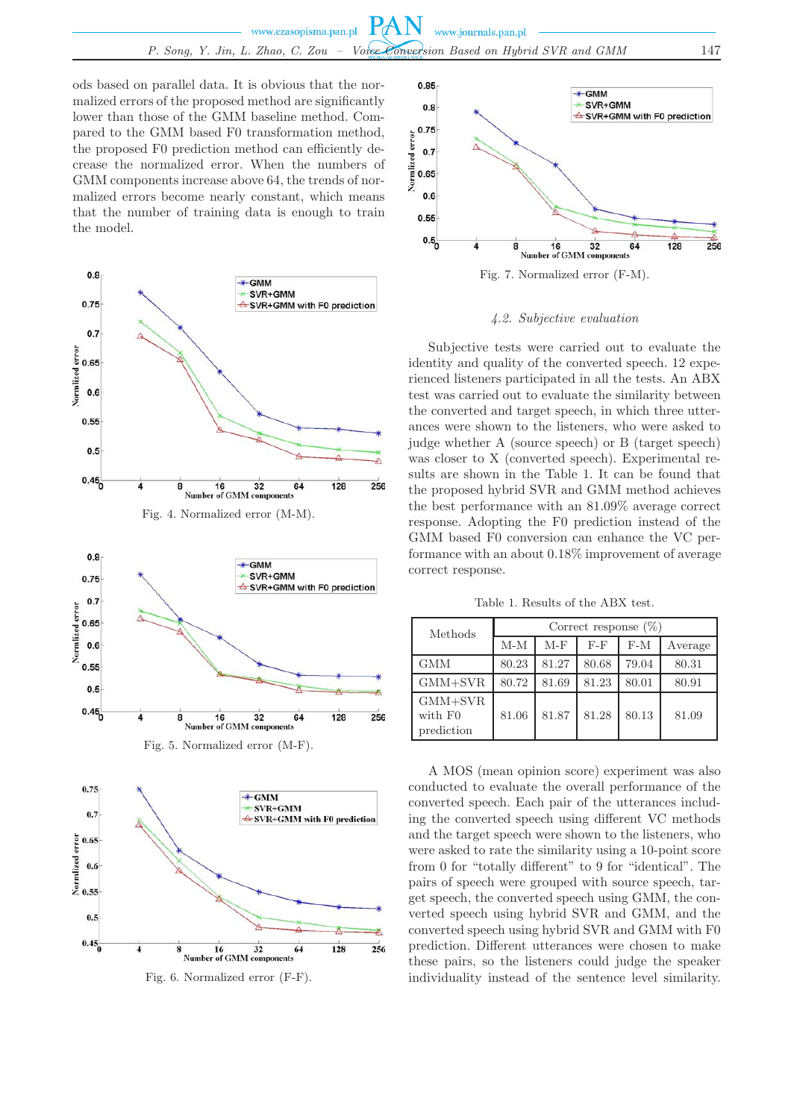ods based on parallel data. It is obvious that the normalized errors of the proposed method are significantly lower than those of the GMM baseline method. Compared to the GMM based F0 transformation method, the proposed F0 prediction method can efficiently decrease the normalized error. When the numbers of GMM components increase above 64, the trends of normalized errors become nearly constant, which means that the number of training data is enough to train the model.







Fig. 5. Normalized error (M-F).



Fig. 6. Normalized error (F-F).



#### *4.2. Subjective evaluation*

Subjective tests were carried out to evaluate the identity and quality of the converted speech. 12 experienced listeners participated in all the tests. An ABX test was carried out to evaluate the similarity between the converted and target speech, in which three utterances were shown to the listeners, who were asked to judge whether A (source speech) or B (target speech) was closer to X (converted speech). Experimental results are shown in the Table 1. It can be found that the proposed hybrid SVR and GMM method achieves the best performance with an 81.09% average correct response. Adopting the F0 prediction instead of the GMM based F0 conversion can enhance the VC performance with an about 0.18% improvement of average correct response.

Table 1. Results of the ABX test.

| Methods                                        | Correct response $(\%)$ |       |       |       |         |
|------------------------------------------------|-------------------------|-------|-------|-------|---------|
|                                                | $M-M$                   | $M-F$ | $F-F$ | $F-M$ | Average |
| <b>GMM</b>                                     | 80.23                   | 81.27 | 80.68 | 79.04 | 80.31   |
| $GMM+SVR$                                      | 80.72                   | 81.69 | 81.23 | 80.01 | 80.91   |
| $GMM+SVR$<br>with F <sub>0</sub><br>prediction | 81.06                   | 81.87 | 81.28 | 80.13 | 81.09   |

A MOS (mean opinion score) experiment was also conducted to evaluate the overall performance of the converted speech. Each pair of the utterances including the converted speech using different VC methods and the target speech were shown to the listeners, who were asked to rate the similarity using a 10-point score from 0 for "totally different" to 9 for "identical". The pairs of speech were grouped with source speech, target speech, the converted speech using GMM, the converted speech using hybrid SVR and GMM, and the converted speech using hybrid SVR and GMM with F0 prediction. Different utterances were chosen to make these pairs, so the listeners could judge the speaker individuality instead of the sentence level similarity.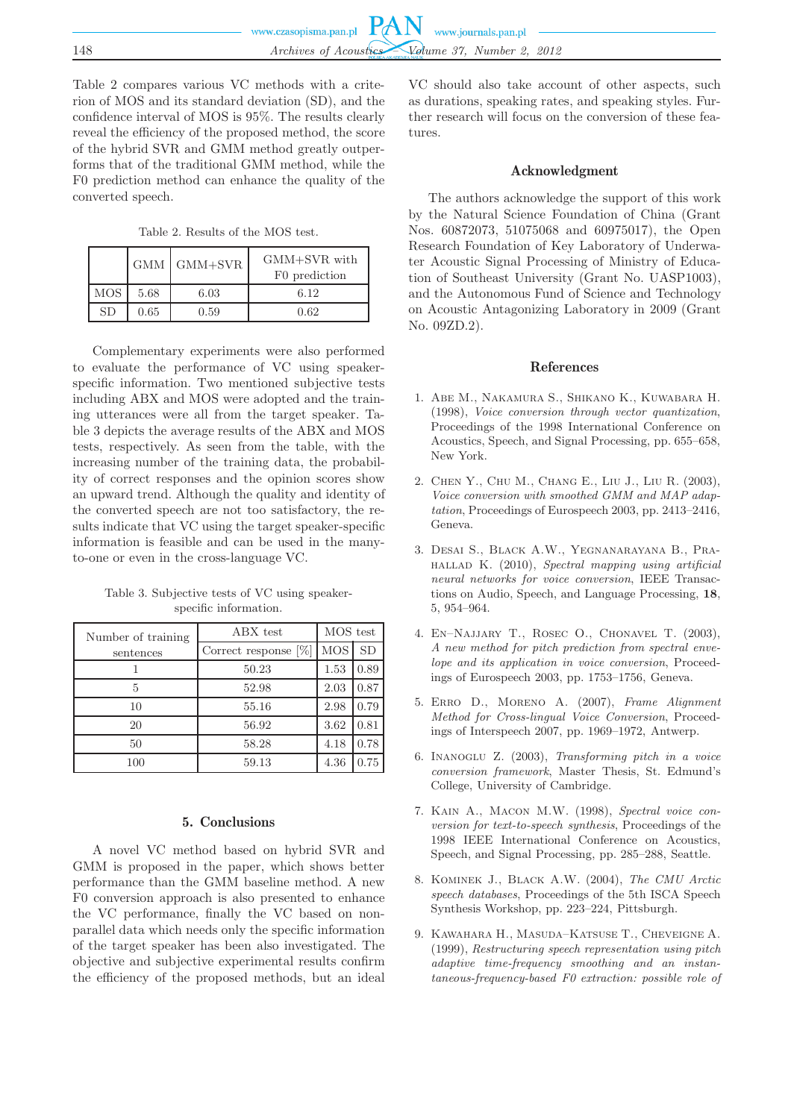Table 2 compares various VC methods with a criterion of MOS and its standard deviation (SD), and the confidence interval of MOS is 95%. The results clearly reveal the efficiency of the proposed method, the score of the hybrid SVR and GMM method greatly outperforms that of the traditional GMM method, while the F0 prediction method can enhance the quality of the converted speech.

Table 2. Results of the MOS test.

|           |      | GMM   GMM+SVR | $GMM+SVR$ with<br>F0 prediction |
|-----------|------|---------------|---------------------------------|
| MOS.      | 5.68 | 6.03          | 6.12                            |
| <b>SD</b> | 0.65 | 0.59          | 0.62                            |

Complementary experiments were also performed to evaluate the performance of VC using speakerspecific information. Two mentioned subjective tests including ABX and MOS were adopted and the training utterances were all from the target speaker. Table 3 depicts the average results of the ABX and MOS tests, respectively. As seen from the table, with the increasing number of the training data, the probability of correct responses and the opinion scores show an upward trend. Although the quality and identity of the converted speech are not too satisfactory, the results indicate that VC using the target speaker-specific information is feasible and can be used in the manyto-one or even in the cross-language VC.

Table 3. Subjective tests of VC using speakerspecific information.

| Number of training | ABX test                | MOS test   |           |
|--------------------|-------------------------|------------|-----------|
| sentences          | Correct response $[\%]$ | <b>MOS</b> | <b>SD</b> |
|                    | 50.23                   | 1.53       | 0.89      |
| 5                  | 52.98                   | 2.03       | 0.87      |
| 10                 | 55.16                   | 2.98       | 0.79      |
| 20                 | 56.92                   | 3.62       | 0.81      |
| 50                 | 58.28                   | 4.18       | 0.78      |
| 100                | 59.13                   | 4.36       | 0.75      |

## 5. Conclusions

A novel VC method based on hybrid SVR and GMM is proposed in the paper, which shows better performance than the GMM baseline method. A new F0 conversion approach is also presented to enhance the VC performance, finally the VC based on nonparallel data which needs only the specific information of the target speaker has been also investigated. The objective and subjective experimental results confirm the efficiency of the proposed methods, but an ideal VC should also take account of other aspects, such as durations, speaking rates, and speaking styles. Further research will focus on the conversion of these features.

#### Acknowledgment

The authors acknowledge the support of this work by the Natural Science Foundation of China (Grant Nos. 60872073, 51075068 and 60975017), the Open Research Foundation of Key Laboratory of Underwater Acoustic Signal Processing of Ministry of Education of Southeast University (Grant No. UASP1003), and the Autonomous Fund of Science and Technology on Acoustic Antagonizing Laboratory in 2009 (Grant No. 09ZD.2).

#### References

- 1. Abe M., Nakamura S., Shikano K., Kuwabara H. (1998), *Voice conversion through vector quantization*, Proceedings of the 1998 International Conference on Acoustics, Speech, and Signal Processing, pp. 655–658, New York.
- 2. Chen Y., Chu M., Chang E., Liu J., Liu R. (2003), *Voice conversion with smoothed GMM and MAP adaptation*, Proceedings of Eurospeech 2003, pp. 2413–2416, Geneva.
- 3. Desai S., Black A.W., Yegnanarayana B., Prahallad K. (2010), *Spectral mapping using artificial neural networks for voice conversion*, IEEE Transactions on Audio, Speech, and Language Processing, **18**, 5, 954–964.
- 4. En–Najjary T., Rosec O., Chonavel T. (2003), *A new method for pitch prediction from spectral envelope and its application in voice conversion*, Proceedings of Eurospeech 2003, pp. 1753–1756, Geneva.
- 5. Erro D., Moreno A. (2007), *Frame Alignment Method for Cross-lingual Voice Conversion*, Proceedings of Interspeech 2007, pp. 1969–1972, Antwerp.
- 6. Inanoglu Z. (2003), *Transforming pitch in a voice conversion framework*, Master Thesis, St. Edmund's College, University of Cambridge.
- 7. Kain A., Macon M.W. (1998), *Spectral voice conversion for text-to-speech synthesis*, Proceedings of the 1998 IEEE International Conference on Acoustics, Speech, and Signal Processing, pp. 285–288, Seattle.
- 8. Kominek J., Black A.W. (2004), *The CMU Arctic speech databases*, Proceedings of the 5th ISCA Speech Synthesis Workshop, pp. 223–224, Pittsburgh.
- 9. Kawahara H., Masuda–Katsuse T., Cheveigne A. (1999), *Restructuring speech representation using pitch adaptive time-frequency smoothing and an instantaneous-frequency-based F0 extraction: possible role of*